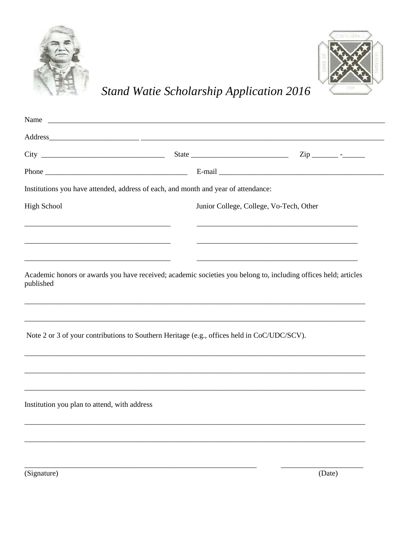



Stand Watie Scholarship Application 2016

| Name                                                                                        |                                         |                                                                                                                                                                                                                                |
|---------------------------------------------------------------------------------------------|-----------------------------------------|--------------------------------------------------------------------------------------------------------------------------------------------------------------------------------------------------------------------------------|
|                                                                                             |                                         |                                                                                                                                                                                                                                |
|                                                                                             |                                         |                                                                                                                                                                                                                                |
|                                                                                             |                                         | E-mail experience and the set of the set of the set of the set of the set of the set of the set of the set of the set of the set of the set of the set of the set of the set of the set of the set of the set of the set of th |
| Institutions you have attended, address of each, and month and year of attendance:          |                                         |                                                                                                                                                                                                                                |
| <b>High School</b>                                                                          | Junior College, College, Vo-Tech, Other |                                                                                                                                                                                                                                |
|                                                                                             |                                         |                                                                                                                                                                                                                                |
| published                                                                                   |                                         | Academic honors or awards you have received; academic societies you belong to, including offices held; articles                                                                                                                |
| Note 2 or 3 of your contributions to Southern Heritage (e.g., offices held in CoC/UDC/SCV). |                                         |                                                                                                                                                                                                                                |
|                                                                                             |                                         |                                                                                                                                                                                                                                |
| Institution you plan to attend, with address                                                |                                         |                                                                                                                                                                                                                                |
|                                                                                             |                                         |                                                                                                                                                                                                                                |
|                                                                                             |                                         |                                                                                                                                                                                                                                |

(Signature)

 $(Date)$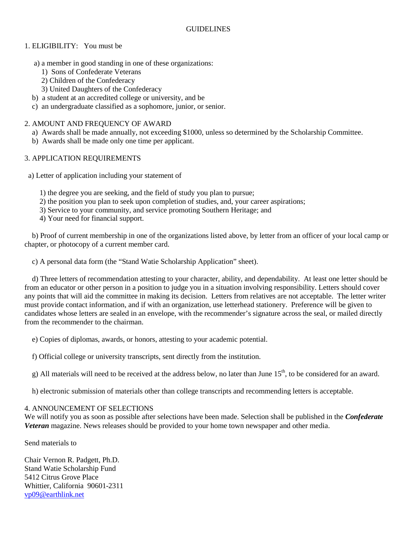# 1. ELIGIBILITY: You must be

- a) a member in good standing in one of these organizations:
	- 1) Sons of Confederate Veterans
	- 2) Children of the Confederacy
	- 3) United Daughters of the Confederacy
- b) a student at an accredited college or university, and be
- c) an undergraduate classified as a sophomore, junior, or senior.

# 2. AMOUNT AND FREQUENCY OF AWARD

- a) Awards shall be made annually, not exceeding \$1000, unless so determined by the Scholarship Committee.
- b) Awards shall be made only one time per applicant.

## 3. APPLICATION REQUIREMENTS

- a) Letter of application including your statement of
	- 1) the degree you are seeking, and the field of study you plan to pursue;
	- 2) the position you plan to seek upon completion of studies, and, your career aspirations;
	- 3) Service to your community, and service promoting Southern Heritage; and
	- 4) Your need for financial support.

 b) Proof of current membership in one of the organizations listed above, by letter from an officer of your local camp or chapter, or photocopy of a current member card.

c) A personal data form (the "Stand Watie Scholarship Application" sheet).

 d) Three letters of recommendation attesting to your character, ability, and dependability. At least one letter should be from an educator or other person in a position to judge you in a situation involving responsibility. Letters should cover any points that will aid the committee in making its decision. Letters from relatives are not acceptable. The letter writer must provide contact information, and if with an organization, use letterhead stationery. Preference will be given to candidates whose letters are sealed in an envelope, with the recommender's signature across the seal, or mailed directly from the recommender to the chairman.

e) Copies of diplomas, awards, or honors, attesting to your academic potential.

f) Official college or university transcripts, sent directly from the institution.

g) All materials will need to be received at the address below, no later than June  $15<sup>th</sup>$ , to be considered for an award.

h) electronic submission of materials other than college transcripts and recommending letters is acceptable.

### 4. ANNOUNCEMENT OF SELECTIONS

We will notify you as soon as possible after selections have been made. Selection shall be published in the *Confederate Veteran* magazine. News releases should be provided to your home town newspaper and other media.

Send materials to

Chair Vernon R. Padgett, Ph.D. Stand Watie Scholarship Fund 5412 Citrus Grove Place Whittier, California 90601-2311 [vp09@earthlink.net](mailto:vp09@earthlink.net)